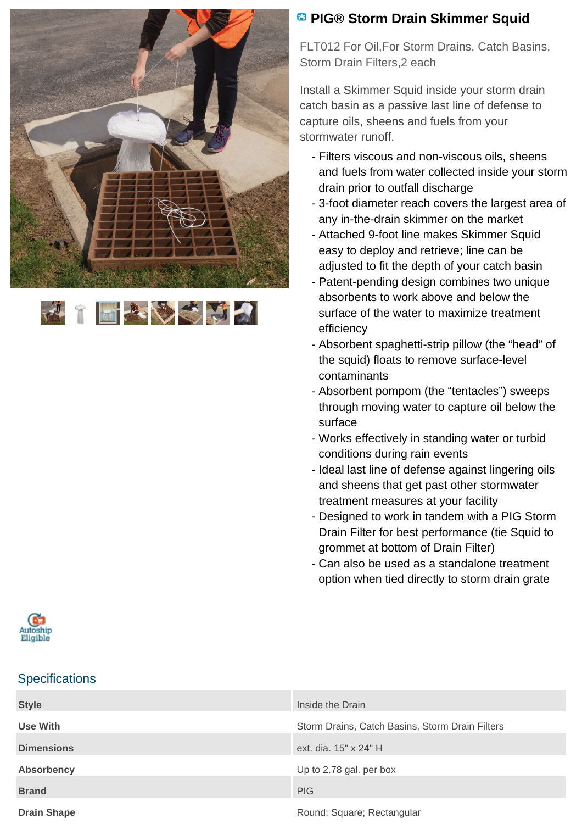



## **<sup><b>B</sup>** PIG® Storm Drain Skimmer Squid</sup>

FLT012 For Oil,For Storm Drains, Catch Basins, Storm Drain Filters,2 each

Install a Skimmer Squid inside your storm drain catch basin as a passive last line of defense to capture oils, sheens and fuels from your stormwater runoff.

- Filters viscous and non-viscous oils, sheens and fuels from water collected inside your storm drain prior to outfall discharge
- 3-foot diameter reach covers the largest area of any in-the-drain skimmer on the market
- Attached 9-foot line makes Skimmer Squid easy to deploy and retrieve; line can be adjusted to fit the depth of your catch basin
- Patent-pending design combines two unique absorbents to work above and below the surface of the water to maximize treatment efficiency
- Absorbent spaghetti-strip pillow (the "head" of the squid) floats to remove surface-level contaminants
- Absorbent pompom (the "tentacles") sweeps through moving water to capture oil below the surface
- Works effectively in standing water or turbid conditions during rain events
- Ideal last line of defense against lingering oils and sheens that get past other stormwater treatment measures at your facility
- Designed to work in tandem with a PIG Storm Drain Filter for best performance (tie Squid to grommet at bottom of Drain Filter)
- Can also be used as a standalone treatment option when tied directly to storm drain grate



### **Specifications**

| <b>Style</b>       | Inside the Drain                                |
|--------------------|-------------------------------------------------|
| Use With           | Storm Drains, Catch Basins, Storm Drain Filters |
| <b>Dimensions</b>  | ext. dia. 15" x 24" H                           |
| <b>Absorbency</b>  | Up to 2.78 gal. per box                         |
| <b>Brand</b>       | <b>PIG</b>                                      |
| <b>Drain Shape</b> | Round; Square; Rectangular                      |